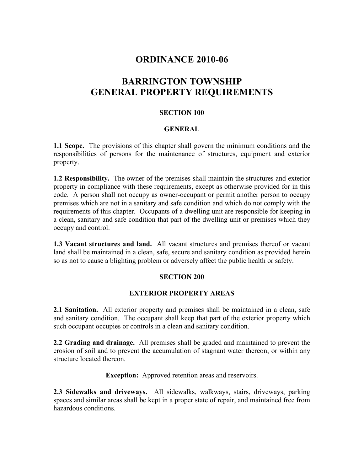## **ORDINANCE 2010-06**

# **BARRINGTON TOWNSHIP GENERAL PROPERTY REQUIREMENTS**

### **SECTION 100**

### **GENERAL**

**1.1 Scope.** The provisions of this chapter shall govern the minimum conditions and the responsibilities of persons for the maintenance of structures, equipment and exterior property.

**1.2 Responsibility.** The owner of the premises shall maintain the structures and exterior property in compliance with these requirements, except as otherwise provided for in this code. A person shall not occupy as owner-occupant or permit another person to occupy premises which are not in a sanitary and safe condition and which do not comply with the requirements of this chapter. Occupants of a dwelling unit are responsible for keeping in a clean, sanitary and safe condition that part of the dwelling unit or premises which they occupy and control.

**1.3 Vacant structures and land.** All vacant structures and premises thereof or vacant land shall be maintained in a clean, safe, secure and sanitary condition as provided herein so as not to cause a blighting problem or adversely affect the public health or safety.

### **SECTION 200**

### **EXTERIOR PROPERTY AREAS**

**2.1 Sanitation.** All exterior property and premises shall be maintained in a clean, safe and sanitary condition. The occupant shall keep that part of the exterior property which such occupant occupies or controls in a clean and sanitary condition.

**2.2 Grading and drainage.** All premises shall be graded and maintained to prevent the erosion of soil and to prevent the accumulation of stagnant water thereon, or within any structure located thereon.

**Exception:** Approved retention areas and reservoirs.

**2.3 Sidewalks and driveways.** All sidewalks, walkways, stairs, driveways, parking spaces and similar areas shall be kept in a proper state of repair, and maintained free from hazardous conditions.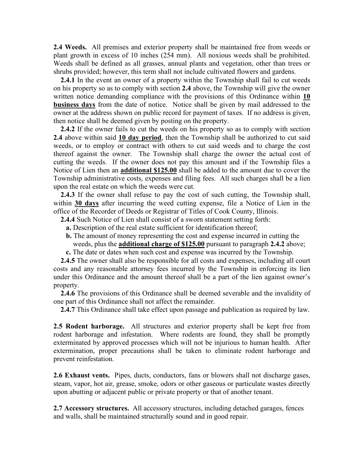**2.4 Weeds.** All premises and exterior property shall be maintained free from weeds or plant growth in excess of 10 inches (254 mm). All noxious weeds shall be prohibited. Weeds shall be defined as all grasses, annual plants and vegetation, other than trees or shrubs provided; however, this term shall not include cultivated flowers and gardens.

 **2.4.1** In the event an owner of a property within the Township shall fail to cut weeds on his property so as to comply with section **2.4** above, the Township will give the owner written notice demanding compliance with the provisions of this Ordinance within **10 business days** from the date of notice. Notice shall be given by mail addressed to the owner at the address shown on public record for payment of taxes. If no address is given, then notice shall be deemed given by posting on the property.

 **2.4.2** If the owner fails to cut the weeds on his property so as to comply with section **2.4** above within said **10 day period**, then the Township shall be authorized to cut said weeds, or to employ or contract with others to cut said weeds and to charge the cost thereof against the owner. The Township shall charge the owner the actual cost of cutting the weeds. If the owner does not pay this amount and if the Township files a Notice of Lien then an **additional \$125.00** shall be added to the amount due to cover the Township administrative costs, expenses and filing fees. All such charges shall be a lien upon the real estate on which the weeds were cut.

 **2.4.3** If the owner shall refuse to pay the cost of such cutting, the Township shall, within **30 days** after incurring the weed cutting expense, file a Notice of Lien in the office of the Recorder of Deeds or Registrar of Titles of Cook County, Illinois.

**2.4.4** Such Notice of Lien shall consist of a sworn statement setting forth:

- **a.** Description of the real estate sufficient for identification thereof;
- **b.** The amount of money representing the cost and expense incurred in cutting the weeds, plus the **additional charge of \$125.00** pursuant to paragraph **2.4.2** above;
- **c.** The date or dates when such cost and expense was incurred by the Township.

 **2.4.5** The owner shall also be responsible for all costs and expenses, including all court costs and any reasonable attorney fees incurred by the Township in enforcing its lien under this Ordinance and the amount thereof shall be a part of the lien against owner's property.

 **2.4.6** The provisions of this Ordinance shall be deemed severable and the invalidity of one part of this Ordinance shall not affect the remainder.

**2.4.7** This Ordinance shall take effect upon passage and publication as required by law.

**2.5 Rodent harborage.** All structures and exterior property shall be kept free from rodent harborage and infestation. Where rodents are found, they shall be promptly exterminated by approved processes which will not be injurious to human health. After extermination, proper precautions shall be taken to eliminate rodent harborage and prevent reinfestation.

**2.6 Exhaust vents.** Pipes, ducts, conductors, fans or blowers shall not discharge gases, steam, vapor, hot air, grease, smoke, odors or other gaseous or particulate wastes directly upon abutting or adjacent public or private property or that of another tenant.

**2.7 Accessory structures.** All accessory structures, including detached garages, fences and walls, shall be maintained structurally sound and in good repair.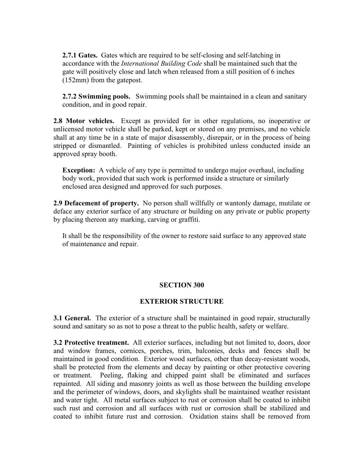**2.7.1 Gates.** Gates which are required to be self-closing and self-latching in accordance with the *International Building Code* shall be maintained such that the gate will positively close and latch when released from a still position of 6 inches (152mm) from the gatepost.

 **2.7.2 Swimming pools.** Swimming pools shall be maintained in a clean and sanitary condition, and in good repair.

**2.8 Motor vehicles.** Except as provided for in other regulations, no inoperative or unlicensed motor vehicle shall be parked, kept or stored on any premises, and no vehicle shall at any time be in a state of major disassembly, disrepair, or in the process of being stripped or dismantled. Painting of vehicles is prohibited unless conducted inside an approved spray booth.

 **Exception:** A vehicle of any type is permitted to undergo major overhaul, including body work, provided that such work is performed inside a structure or similarly enclosed area designed and approved for such purposes.

**2.9 Defacement of property.** No person shall willfully or wantonly damage, mutilate or deface any exterior surface of any structure or building on any private or public property by placing thereon any marking, carving or graffiti.

 It shall be the responsibility of the owner to restore said surface to any approved state of maintenance and repair.

### **SECTION 300**

#### **EXTERIOR STRUCTURE**

**3.1 General.** The exterior of a structure shall be maintained in good repair, structurally sound and sanitary so as not to pose a threat to the public health, safety or welfare.

**3.2 Protective treatment.** All exterior surfaces, including but not limited to, doors, door and window frames, cornices, porches, trim, balconies, decks and fences shall be maintained in good condition. Exterior wood surfaces, other than decay-resistant woods, shall be protected from the elements and decay by painting or other protective covering or treatment. Peeling, flaking and chipped paint shall be eliminated and surfaces repainted. All siding and masonry joints as well as those between the building envelope and the perimeter of windows, doors, and skylights shall be maintained weather resistant and water tight. All metal surfaces subject to rust or corrosion shall be coated to inhibit such rust and corrosion and all surfaces with rust or corrosion shall be stabilized and coated to inhibit future rust and corrosion. Oxidation stains shall be removed from